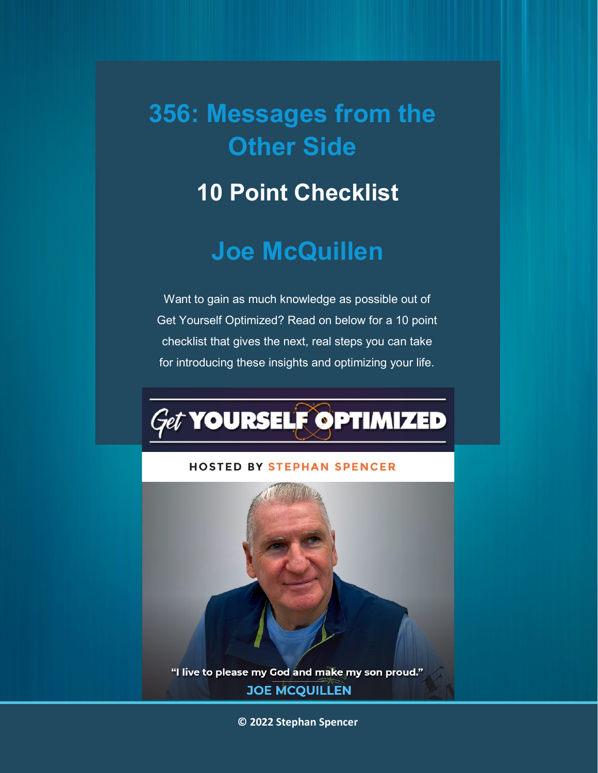## **356: Messages from the Other Side**

### **10 Point Checklist**

### **Joe McQuillen**

Want to gain as much knowledge as possible out of Get Yourself Optimized? Read on below for a 10 point checklist that gives the next, real steps you can take for introducing these insights and optimizing your life.

# *Get* YOURSELF OPTIMIZED

#### **HOSTED BY STEPHAN SPENCER**



"I live to please my God and make my son proud." **JOE MCQUILLEN** 

**© 2022 Stephan Spencer**